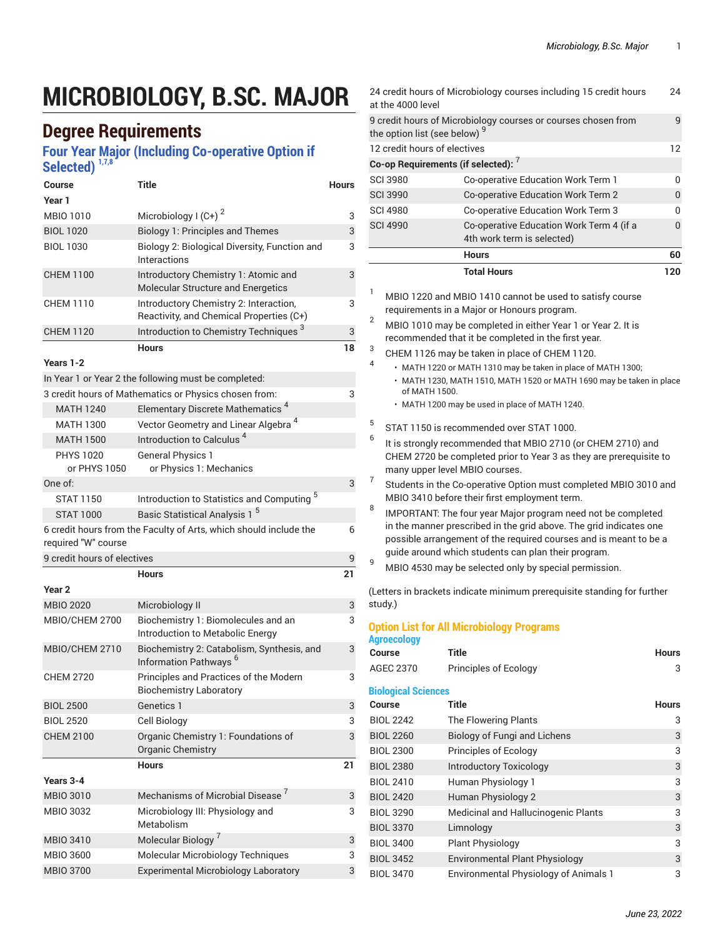# **MICROBIOLOGY, B.SC. MAJOR**

### **Degree Requirements**

#### **Four Year Major (Including Co-operative Option if Selected) 1,7,8**

| Course                           | <b>Title</b>                                                                       | <b>Hours</b> |
|----------------------------------|------------------------------------------------------------------------------------|--------------|
| Year 1                           |                                                                                    |              |
| MBIO 1010                        | Microbiology I $(C+)$ <sup>2</sup>                                                 | 3            |
| <b>BIOL 1020</b>                 | <b>Biology 1: Principles and Themes</b>                                            | 3            |
| <b>BIOL 1030</b>                 | Biology 2: Biological Diversity, Function and<br>Interactions                      | 3            |
| <b>CHEM 1100</b>                 | Introductory Chemistry 1: Atomic and<br>Molecular Structure and Energetics         | 3            |
| <b>CHEM 1110</b>                 | Introductory Chemistry 2: Interaction,<br>Reactivity, and Chemical Properties (C+) | 3            |
| <b>CHEM 1120</b>                 | Introduction to Chemistry Techniques <sup>3</sup>                                  | 3            |
|                                  | <b>Hours</b>                                                                       | 18           |
| Years 1-2                        |                                                                                    |              |
|                                  | In Year 1 or Year 2 the following must be completed:                               |              |
|                                  | 3 credit hours of Mathematics or Physics chosen from:                              | 3            |
| <b>MATH 1240</b>                 | Elementary Discrete Mathematics <sup>4</sup>                                       |              |
| <b>MATH 1300</b>                 | Vector Geometry and Linear Algebra <sup>4</sup>                                    |              |
| <b>MATH 1500</b>                 | Introduction to Calculus <sup>4</sup>                                              |              |
| <b>PHYS 1020</b><br>or PHYS 1050 | <b>General Physics 1</b><br>or Physics 1: Mechanics                                |              |
| One of:                          |                                                                                    | 3            |
| <b>STAT 1150</b>                 | Introduction to Statistics and Computing <sup>5</sup>                              |              |
| <b>STAT 1000</b>                 | Basic Statistical Analysis 1 <sup>5</sup>                                          |              |
| required "W" course              | 6 credit hours from the Faculty of Arts, which should include the                  | 6            |
| 9 credit hours of electives      |                                                                                    | 9            |
|                                  | <b>Hours</b>                                                                       | 21           |
| Year <sub>2</sub>                |                                                                                    |              |
| <b>MBIO 2020</b>                 | Microbiology II                                                                    | 3            |
| MBIO/CHEM 2700                   | Biochemistry 1: Biomolecules and an<br>Introduction to Metabolic Energy            | 3            |
| MBIO/CHEM 2710                   | Biochemistry 2: Catabolism, Synthesis, and<br>Information Pathways <sup>6</sup>    | 3            |
| <b>CHEM 2720</b>                 | Principles and Practices of the Modern<br><b>Biochemistry Laboratory</b>           | 3            |
| <b>BIOL 2500</b>                 | Genetics 1                                                                         | 3            |
| <b>BIOL 2520</b>                 | Cell Biology                                                                       | 3            |
| <b>CHEM 2100</b>                 | Organic Chemistry 1: Foundations of<br>Organic Chemistry                           | 3            |
|                                  | <b>Hours</b>                                                                       | 21           |
| Years 3-4                        |                                                                                    |              |
| <b>MBIO 3010</b>                 | Mechanisms of Microbial Disease <sup>7</sup>                                       | 3            |
| MBIO 3032                        | Microbiology III: Physiology and<br>Metabolism                                     | 3            |
| <b>MBIO 3410</b>                 | Molecular Biology <sup>7</sup>                                                     | 3            |
| MBIO 3600                        | Molecular Microbiology Techniques                                                  | 3            |
| <b>MBIO 3700</b>                 | <b>Experimental Microbiology Laboratory</b>                                        | 3            |

|   | at the 4000 level                                                                                                   | 24 credit hours of Microbiology courses including 15 credit hours      | 24  |
|---|---------------------------------------------------------------------------------------------------------------------|------------------------------------------------------------------------|-----|
|   | the option list (see below) <sup>9</sup>                                                                            | 9 credit hours of Microbiology courses or courses chosen from          | 9   |
|   | 12 credit hours of electives                                                                                        |                                                                        | 12  |
|   | Co-op Requirements (if selected): 7                                                                                 |                                                                        |     |
|   | <b>SCI 3980</b>                                                                                                     | Co-operative Education Work Term 1                                     | U   |
|   | <b>SCI 3990</b>                                                                                                     | Co-operative Education Work Term 2                                     | 0   |
|   | <b>SCI 4980</b>                                                                                                     | Co-operative Education Work Term 3                                     | n   |
|   | <b>SCI 4990</b>                                                                                                     | Co-operative Education Work Term 4 (if a<br>4th work term is selected) | 0   |
|   |                                                                                                                     | <b>Hours</b>                                                           | 60  |
|   |                                                                                                                     | <b>Total Hours</b>                                                     | 120 |
| 1 | MBIO 1220 and MBIO 1410 cannot be used to satisfy course<br>requirements in a Major or Honours program.             |                                                                        |     |
| 2 | MBIO 1010 may be completed in either Year 1 or Year 2. It is<br>recommended that it be completed in the first year. |                                                                        |     |
| 3 |                                                                                                                     | $\Omega$ UEM 1100  L. L. L.  L.  L.  COUEM 1100                        |     |

- CHEM 1126 may be taken in place of CHEM 1120. 4
	- MATH 1220 or MATH 1310 may be taken in place of MATH 1300;
	- MATH 1230, MATH 1510, MATH 1520 or MATH 1690 may be taken in place of MATH 1500.
	- MATH 1200 may be used in place of MATH 1240.
- 5 STAT 1150 is recommended over STAT 1000.
- 6 It is strongly recommended that MBIO 2710 (or CHEM 2710) and CHEM 2720 be completed prior to Year 3 as they are prerequisite to many upper level MBIO courses.
- 7 Students in the Co-operative Option must completed MBIO 3010 and MBIO 3410 before their first employment term.
- 8 IMPORTANT: The four year Major program need not be completed in the manner prescribed in the grid above. The grid indicates one possible arrangement of the required courses and is meant to be a guide around which students can plan their program.
- $\frac{9}{9}$  MBIO 4530 may be selected only by special permission.

(Letters in brackets indicate minimum prerequisite standing for further study.)

#### **Option List for All Microbiology Programs Agroecology**

| <b>Course</b>              | <b>Title</b>                                 | <b>Hours</b> |
|----------------------------|----------------------------------------------|--------------|
| <b>AGEC 2370</b>           | Principles of Ecology                        | 3            |
| <b>Biological Sciences</b> |                                              |              |
| Course                     | Title                                        | <b>Hours</b> |
| <b>BIOL 2242</b>           | The Flowering Plants                         | 3            |
| <b>BIOL 2260</b>           | <b>Biology of Fungi and Lichens</b>          | 3            |
| <b>BIOL 2300</b>           | Principles of Ecology                        | 3            |
| <b>BIOL 2380</b>           | <b>Introductory Toxicology</b>               | 3            |
| <b>BIOL 2410</b>           | Human Physiology 1                           | 3            |
| <b>BIOL 2420</b>           | Human Physiology 2                           | 3            |
| <b>BIOL 3290</b>           | Medicinal and Hallucinogenic Plants          | 3            |
| <b>BIOL 3370</b>           | Limnology                                    | 3            |
| <b>BIOL 3400</b>           | <b>Plant Physiology</b>                      | 3            |
| <b>BIOL 3452</b>           | <b>Environmental Plant Physiology</b>        | 3            |
| <b>BIOL 3470</b>           | <b>Environmental Physiology of Animals 1</b> | 3            |